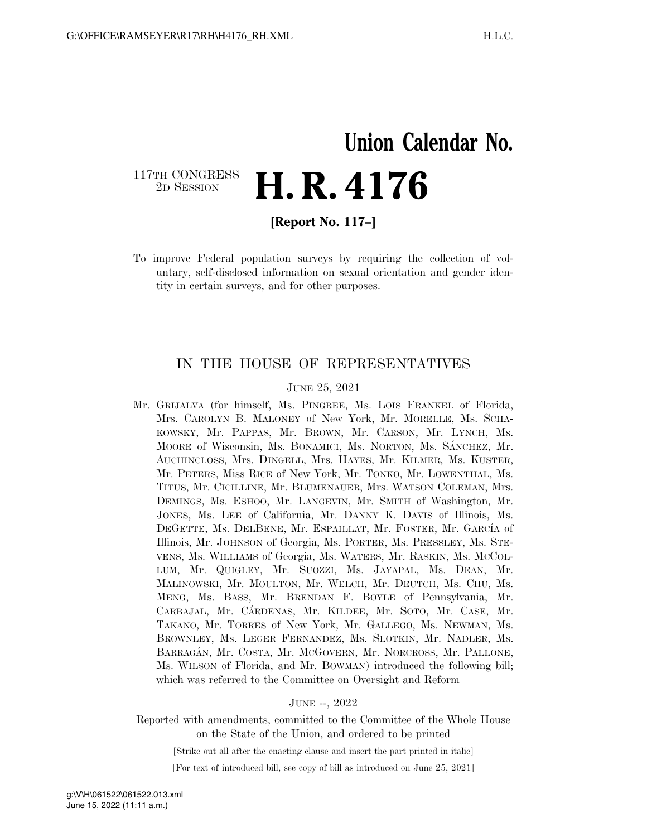## **Union Calendar No.**  117TH CONGRESS<br>2D SESSION 2D SESSION **H. R. 4176**

**[Report No. 117–]** 

To improve Federal population surveys by requiring the collection of voluntary, self-disclosed information on sexual orientation and gender identity in certain surveys, and for other purposes.

### IN THE HOUSE OF REPRESENTATIVES

#### JUNE 25, 2021

Mr. GRIJALVA (for himself, Ms. PINGREE, Ms. LOIS FRANKEL of Florida, Mrs. CAROLYN B. MALONEY of New York, Mr. MORELLE, Ms. SCHA-KOWSKY, Mr. PAPPAS, Mr. BROWN, Mr. CARSON, Mr. LYNCH, Ms. MOORE of Wisconsin, Ms. BONAMICI, Ms. NORTON, Ms. SÁNCHEZ, Mr. AUCHINCLOSS, Mrs. DINGELL, Mrs. HAYES, Mr. KILMER, Ms. KUSTER, Mr. PETERS, Miss RICE of New York, Mr. TONKO, Mr. LOWENTHAL, Ms. TITUS, Mr. CICILLINE, Mr. BLUMENAUER, Mrs. WATSON COLEMAN, Mrs. DEMINGS, Ms. ESHOO, Mr. LANGEVIN, Mr. SMITH of Washington, Mr. JONES, Ms. LEE of California, Mr. DANNY K. DAVIS of Illinois, Ms. DEGETTE, Ms. DELBENE, Mr. ESPAILLAT, Mr. FOSTER, Mr. GARCÍA of Illinois, Mr. JOHNSON of Georgia, Ms. PORTER, Ms. PRESSLEY, Ms. STE-VENS, Ms. WILLIAMS of Georgia, Ms. WATERS, Mr. RASKIN, Ms. MCCOL-LUM, Mr. QUIGLEY, Mr. SUOZZI, Ms. JAYAPAL, Ms. DEAN, Mr. MALINOWSKI, Mr. MOULTON, Mr. WELCH, Mr. DEUTCH, Ms. CHU, Ms. MENG, Ms. BASS, Mr. BRENDAN F. BOYLE of Pennsylvania, Mr. CARBAJAL, Mr. CA´RDENAS, Mr. KILDEE, Mr. SOTO, Mr. CASE, Mr. TAKANO, Mr. TORRES of New York, Mr. GALLEGO, Ms. NEWMAN, Ms. BROWNLEY, Ms. LEGER FERNANDEZ, Ms. SLOTKIN, Mr. NADLER, Ms. BARRAGA´N, Mr. COSTA, Mr. MCGOVERN, Mr. NORCROSS, Mr. PALLONE, Ms. WILSON of Florida, and Mr. BOWMAN) introduced the following bill; which was referred to the Committee on Oversight and Reform

#### JUNE --, 2022

Reported with amendments, committed to the Committee of the Whole House on the State of the Union, and ordered to be printed

[Strike out all after the enacting clause and insert the part printed in italic]

[For text of introduced bill, see copy of bill as introduced on June 25, 2021]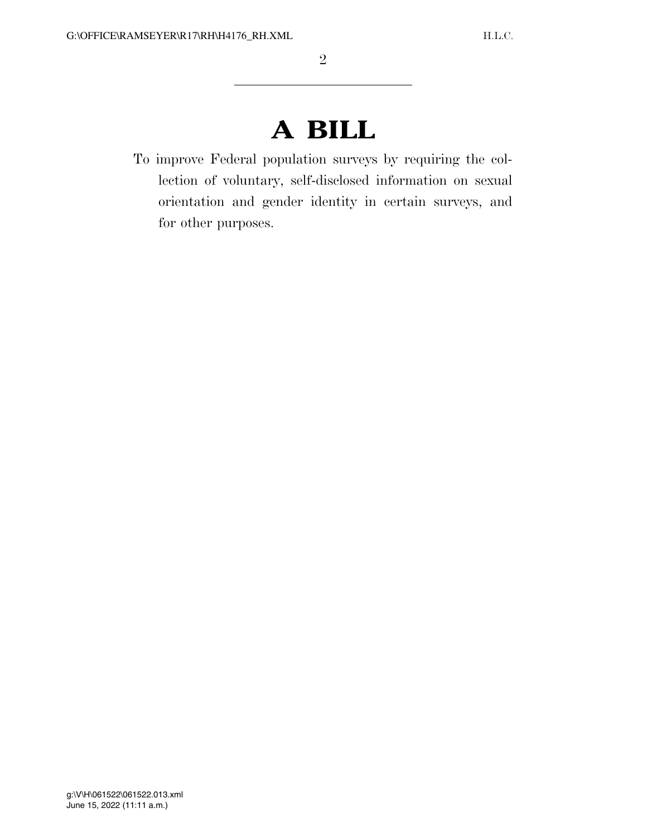# **A BILL**

To improve Federal population surveys by requiring the collection of voluntary, self-disclosed information on sexual orientation and gender identity in certain surveys, and for other purposes.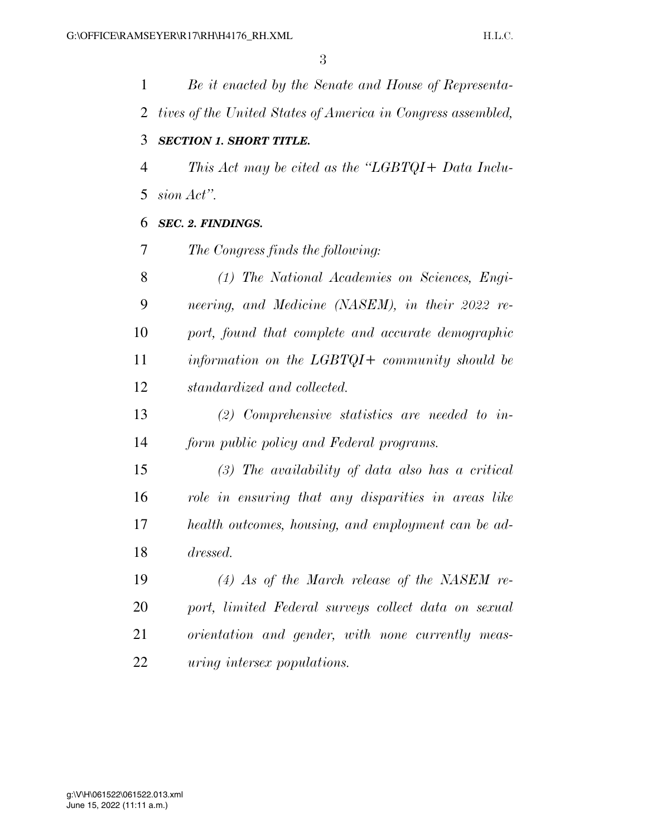*Be it enacted by the Senate and House of Representa- tives of the United States of America in Congress assembled, SECTION 1. SHORT TITLE. This Act may be cited as the ''LGBTQI+ Data Inclu- sion Act''. SEC. 2. FINDINGS. The Congress finds the following: (1) The National Academies on Sciences, Engi- neering, and Medicine (NASEM), in their 2022 re- port, found that complete and accurate demographic information on the LGBTQI+ community should be standardized and collected. (2) Comprehensive statistics are needed to in- form public policy and Federal programs. (3) The availability of data also has a critical role in ensuring that any disparities in areas like health outcomes, housing, and employment can be ad- dressed. (4) As of the March release of the NASEM re- port, limited Federal surveys collect data on sexual orientation and gender, with none currently meas-*

*uring intersex populations.*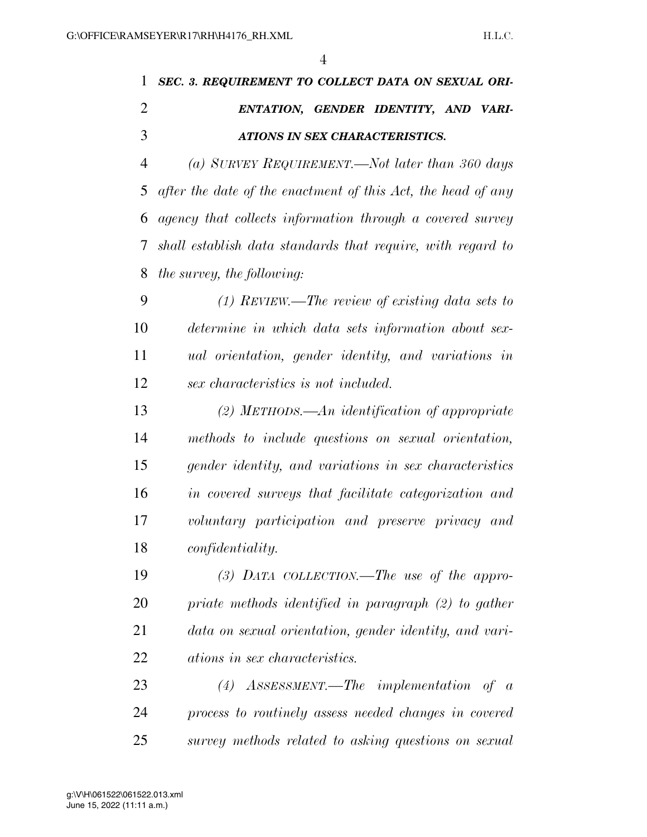|               | 1 SEC. 3. REQUIREMENT TO COLLECT DATA ON SEXUAL ORI- |
|---------------|------------------------------------------------------|
| $\mathcal{L}$ | ENTATION, GENDER IDENTITY, AND VARI-                 |
| $\mathcal{R}$ | ATIONS IN SEX CHARACTERISTICS.                       |

 *(a) SURVEY REQUIREMENT.—Not later than 360 days after the date of the enactment of this Act, the head of any agency that collects information through a covered survey shall establish data standards that require, with regard to the survey, the following:* 

 *(1) REVIEW.—The review of existing data sets to determine in which data sets information about sex- ual orientation, gender identity, and variations in sex characteristics is not included.* 

 *(2) METHODS.—An identification of appropriate methods to include questions on sexual orientation, gender identity, and variations in sex characteristics in covered surveys that facilitate categorization and voluntary participation and preserve privacy and confidentiality.* 

 *(3) DATA COLLECTION.—The use of the appro- priate methods identified in paragraph (2) to gather data on sexual orientation, gender identity, and vari-ations in sex characteristics.* 

 *(4) ASSESSMENT.—The implementation of a process to routinely assess needed changes in covered survey methods related to asking questions on sexual*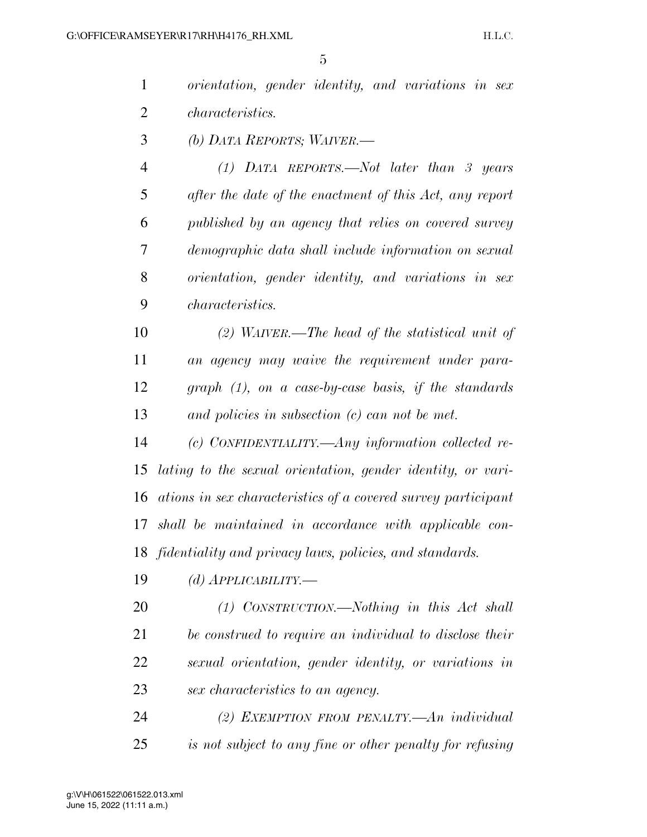|                | 5                                                             |
|----------------|---------------------------------------------------------------|
| $\mathbf{1}$   | orientation, gender identity, and variations in sex           |
| $\overline{2}$ | <i>characteristics.</i>                                       |
| 3              | (b) DATA REPORTS; WAIVER.—                                    |
| $\overline{4}$ | $(1)$ DATA REPORTS.—Not later than 3 years                    |
| 5              | after the date of the enactment of this Act, any report       |
| 6              | published by an agency that relies on covered survey          |
| 7              | demographic data shall include information on sexual          |
| 8              | orientation, gender identity, and variations in sex           |
| 9              | <i>characteristics.</i>                                       |
| 10             | (2) WAIVER.—The head of the statistical unit of               |
| 11             | an agency may waive the requirement under para-               |
| 12             | $graph (1)$ , on a case-by-case basis, if the standards       |
| 13             | and policies in subsection $(c)$ can not be met.              |
| 14             | (c) CONFIDENTIALITY.—Any information collected re-            |
| 15             | lating to the sexual orientation, gender identity, or vari-   |
| 16             | ations in sex characteristics of a covered survey participant |
| 17             | shall be maintained in accordance with applicable con-        |
| 18             | fidentiality and privacy laws, policies, and standards.       |
| 19             | (d) $APPLICABILITY$ .                                         |
| 20             | $(1)$ CONSTRUCTION.—Nothing in this Act shall                 |
| 21             | be construed to require an individual to disclose their       |
| 22             | sexual orientation, gender identity, or variations in         |

- *sex characteristics to an agency.*
- *(2) EXEMPTION FROM PENALTY.—An individual is not subject to any fine or other penalty for refusing*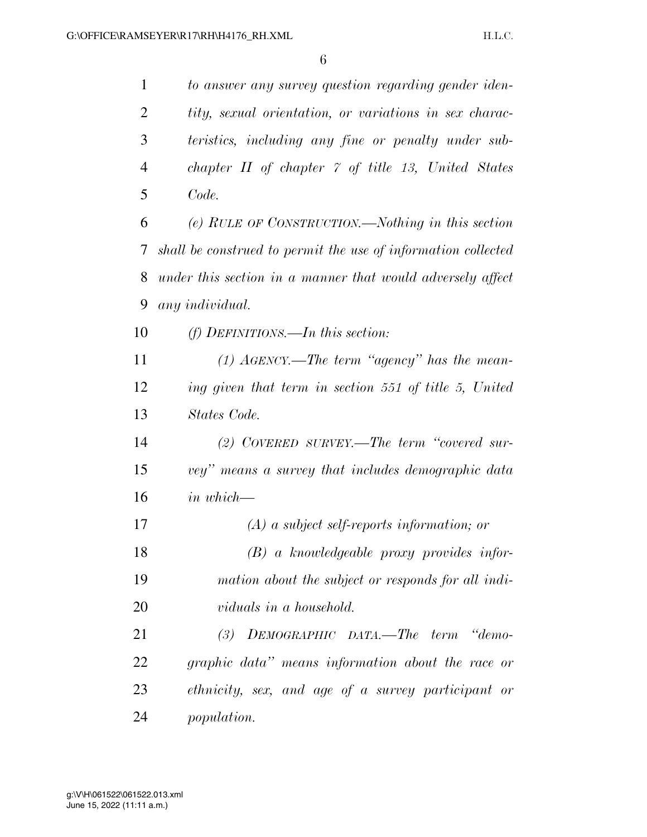*to answer any survey question regarding gender iden- tity, sexual orientation, or variations in sex charac- teristics, including any fine or penalty under sub- chapter II of chapter 7 of title 13, United States Code. (e) RULE OF CONSTRUCTION.—Nothing in this section shall be construed to permit the use of information collected under this section in a manner that would adversely affect* 

*any individual.* 

*(f) DEFINITIONS.—In this section:* 

 *(1) AGENCY.—The term ''agency'' has the mean- ing given that term in section 551 of title 5, United States Code.* 

 *(2) COVERED SURVEY.—The term ''covered sur- vey'' means a survey that includes demographic data in which—* 

 *(A) a subject self-reports information; or (B) a knowledgeable proxy provides infor- mation about the subject or responds for all indi-viduals in a household.* 

 *(3) DEMOGRAPHIC DATA.—The term ''demo- graphic data'' means information about the race or ethnicity, sex, and age of a survey participant or population.*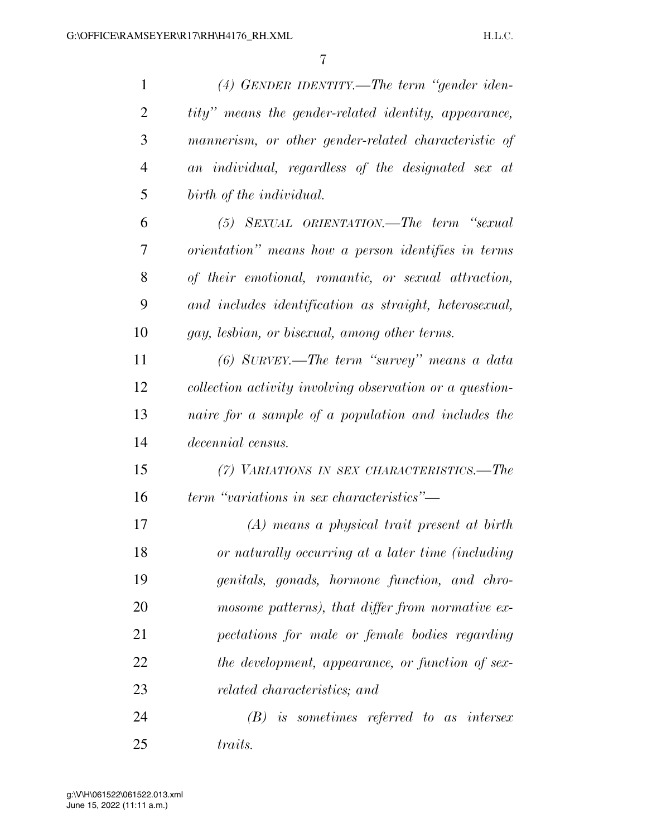| $\mathbf{1}$   | $(4)$ GENDER IDENTITY.—The term "gender iden-            |
|----------------|----------------------------------------------------------|
| $\overline{2}$ | tity" means the gender-related identity, appearance,     |
| 3              | mannerism, or other gender-related characteristic of     |
| $\overline{4}$ | an individual, regardless of the designated sex at       |
| 5              | birth of the individual.                                 |
| 6              | (5) SEXUAL ORIENTATION.—The term "sexual                 |
| 7              | orientation" means how a person identifies in terms      |
| 8              | of their emotional, romantic, or sexual attraction,      |
| 9              | and includes identification as straight, heterosexual,   |
| 10             | gay, lesbian, or bisexual, among other terms.            |
| 11             | (6) SURVEY.—The term "survey" means a data               |
| 12             | collection activity involving observation or a question- |
| 13             | naire for a sample of a population and includes the      |
| 14             | decennial census.                                        |
| 15             | (7) VARIATIONS IN SEX CHARACTERISTICS.—The               |
| 16             | term "variations in sex characteristics"—                |
| 17             | $(A)$ means a physical trait present at birth            |
| 18             | or naturally occurring at a later time (including        |
| 19             | genitals, gonads, hormone function, and chro-            |
| 20             | mosome patterns), that differ from normative ex-         |
| 21             | pectations for male or female bodies regarding           |
| 22             | the development, appearance, or function of sex-         |
| 23             | <i>related characteristics; and</i>                      |
| 24             | $(B)$ is sometimes referred to as intersex               |
| 25             | <i>traits.</i>                                           |